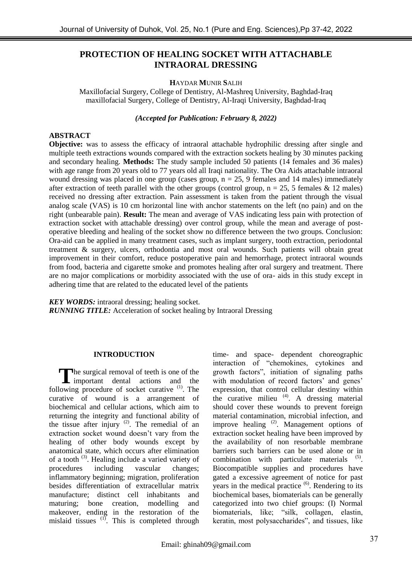# **PROTECTION OF HEALING SOCKET WITH ATTACHABLE INTRAORAL DRESSING**

# **H**AYDAR **M**UNIR **S**ALIH

Maxillofacial Surgery, College of Dentistry, Al-Mashreq University, Baghdad-Iraq maxillofacial Surgery, College of Dentistry, Al-Iraqi University, Baghdad-Iraq

*(Accepted for Publication: February 8, 2022)*

### **ABSTRACT**

**Objective:** was to assess the efficacy of intraoral attachable hydrophilic dressing after single and multiple teeth extractions wounds compared with the extraction sockets healing by 30 minutes packing and secondary healing. **Methods:** The study sample included 50 patients (14 females and 36 males) with age range from 20 years old to 77 years old all Iraqi nationality. The Ora Aids attachable intraoral wound dressing was placed in one group (cases group,  $n = 25$ , 9 females and 14 males) immediately after extraction of teeth parallel with the other groups (control group,  $n = 25$ , 5 females & 12 males) received no dressing after extraction. Pain assessment is taken from the patient through the visual analog scale (VAS) is 10 cm horizontal line with anchor statements on the left (no pain) and on the right (unbearable pain). **Result:** The mean and average of VAS indicating less pain with protection of extraction socket with attachable dressing) over control group, while the mean and average of postoperative bleeding and healing of the socket show no difference between the two groups. Conclusion: Ora-aid can be applied in many treatment cases, such as implant surgery, tooth extraction, periodontal treatment & surgery, ulcers, orthodontia and most oral wounds. Such patients will obtain great improvement in their comfort, reduce postoperative pain and hemorrhage, protect intraoral wounds from food, bacteria and cigarette smoke and promotes healing after oral surgery and treatment. There are no major complications or morbidity associated with the use of ora- aids in this study except in adhering time that are related to the educated level of the patients

*KEY WORDS:* intraoral dressing; healing socket. *RUNNING TITLE:* Acceleration of socket healing by Intraoral Dressing

# **INTRODUCTION**

The surgical removal of teeth is one of the important dental actions and the important dental actions and the following procedure of socket curative  $(1)$ . The curative of wound is a arrangement of biochemical and cellular actions, which aim to returning the integrity and functional ability of the tissue after injury  $(2)$ . The remedial of an extraction socket wound doesn't vary from the healing of other body wounds except by anatomical state, which occurs after elimination of a tooth<sup>(3)</sup>. Healing include a varied variety of procedures including vascular changes; inflammatory beginning; migration, proliferation besides differentiation of extracellular matrix manufacture; distinct cell inhabitants and maturing; bone creation, modelling and makeover, ending in the restoration of the mislaid tissues  $(1)$ . This is completed through

time- and space- dependent choreographic interaction of "chemokines, cytokines and growth factors", initiation of signaling paths with modulation of record factors' and genes' expression, that control cellular destiny within the curative milieu  $(4)$ . A dressing material should cover these wounds to prevent foreign material contamination, microbial infection, and improve healing <sup>(2)</sup>. Management options of extraction socket healing have been improved by the availability of non resorbable membrane barriers such barriers can be used alone or in combination with particulate materials  $(5)$ . Biocompatible supplies and procedures have gated a excessive agreement of notice for past years in the medical practice  $(6)$ . Rendering to its biochemical bases, biomaterials can be generally categorized into two chief groups: (I) Normal biomaterials, like; "silk, collagen, elastin, keratin, most polysaccharides", and tissues, like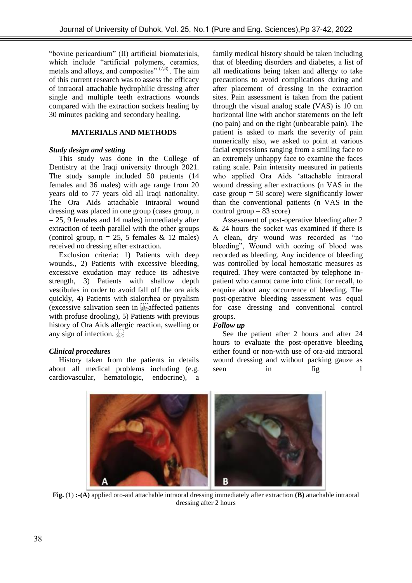"bovine pericardium" (II) artificial biomaterials, which include "artificial polymers, ceramics, metals and alloys, and composites"  $(7,8)$ . The aim of this current research was to assess the efficacy of intraoral attachable hydrophilic dressing after single and multiple teeth extractions wounds compared with the extraction sockets healing by 30 minutes packing and secondary healing.

# **MATERIALS AND METHODS**

# *Study design and setting*

This study was done in the College of Dentistry at the Iraqi university through 2021. The study sample included 50 patients (14 females and 36 males) with age range from 20 years old to 77 years old all Iraqi nationality. The Ora Aids attachable intraoral wound dressing was placed in one group (cases group, n  $= 25, 9$  females and 14 males) immediately after extraction of teeth parallel with the other groups (control group,  $n = 25$ , 5 females & 12 males) received no dressing after extraction.

Exclusion criteria: 1) Patients with deep wounds., 2) Patients with excessive bleeding, excessive exudation may reduce its adhesive strength, 3) Patients with shallow depth vestibules in order to avoid fall off the ora aids quickly, 4) Patients with sialorrhea or ptyalism (excessive salivation seen in steparation patients) with profuse drooling), 5) Patients with previous history of Ora Aids allergic reaction, swelling or any sign of infection.

# *Clinical procedures*

History taken from the patients in details about all medical problems including (e.g. cardiovascular, hematologic, endocrine), a family medical history should be taken including that of bleeding disorders and diabetes, a list of all medications being taken and allergy to take precautions to avoid complications during and after placement of dressing in the extraction sites. Pain assessment is taken from the patient through the visual analog scale (VAS) is 10 cm horizontal line with anchor statements on the left (no pain) and on the right (unbearable pain). The patient is asked to mark the severity of pain numerically also, we asked to point at various facial expressions ranging from a smiling face to an extremely unhappy face to examine the faces rating scale. Pain intensity measured in patients who applied Ora Aids "attachable intraoral wound dressing after extractions (n VAS in the case group  $= 50$  score) were significantly lower than the conventional patients (n VAS in the control group  $= 83$  score)

Assessment of post-operative bleeding after 2 & 24 hours the socket was examined if there is A clean, dry wound was recorded as "no bleeding", Wound with oozing of blood was recorded as bleeding. Any incidence of bleeding was controlled by local hemostatic measures as required. They were contacted by telephone inpatient who cannot came into clinic for recall, to enquire about any occurrence of bleeding. The post-operative bleeding assessment was equal for case dressing and conventional control groups.

# *Follow up*

See the patient after 2 hours and after 24 hours to evaluate the post-operative bleeding either found or non-with use of ora-aid intraoral wound dressing and without packing gauze as seen in fig 1



**Fig.** )**1**( **:-(A)** applied oro-aid attachable intraoral dressing immediately after extraction **(B)** attachable intraoral dressing after 2 hours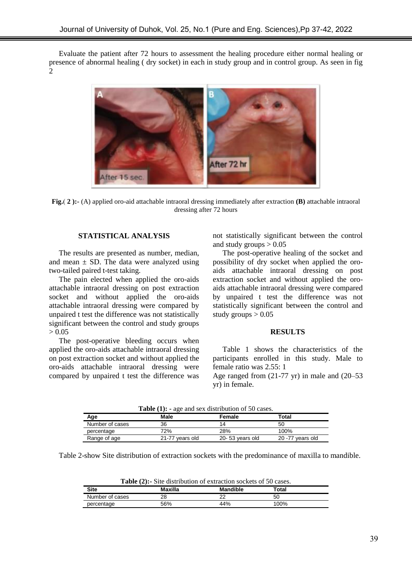Evaluate the patient after 72 hours to assessment the healing procedure either normal healing or presence of abnormal healing ( dry socket) in each in study group and in control group. As seen in fig 2



**Fig.**) **2 ):-** (A) applied oro-aid attachable intraoral dressing immediately after extraction **(B)** attachable intraoral dressing after 72 hours

#### **STATISTICAL ANALYSIS**

The results are presented as number, median, and mean  $\pm$  SD. The data were analyzed using two-tailed paired t-test taking.

The pain elected when applied the oro-aids attachable intraoral dressing on post extraction socket and without applied the oro-aids attachable intraoral dressing were compared by unpaired t test the difference was not statistically significant between the control and study groups  $> 0.05$ 

The post-operative bleeding occurs when applied the oro-aids attachable intraoral dressing on post extraction socket and without applied the oro-aids attachable intraoral dressing were compared by unpaired t test the difference was

not statistically significant between the control and study groups  $> 0.05$ 

The post-operative healing of the socket and possibility of dry socket when applied the oroaids attachable intraoral dressing on post extraction socket and without applied the oroaids attachable intraoral dressing were compared by unpaired t test the difference was not statistically significant between the control and study groups  $> 0.05$ 

#### **RESULTS**

Table 1 shows the characteristics of the participants enrolled in this study. Male to female ratio was 2.55: 1

Age ranged from (21-77 yr) in male and (20–53 yr) in female.

| <b>Table</b> (1): - age and sex distribution of 30 cases. |                 |                 |                  |  |
|-----------------------------------------------------------|-----------------|-----------------|------------------|--|
| Age                                                       | Male            | Female          | Total            |  |
| Number of cases                                           | 36              | 14              | 50               |  |
| percentage                                                | 72%             | 28%             | 100%             |  |
| Range of age                                              | 21-77 years old | 20-53 years old | 20 -77 years old |  |

**Table (1): -** age and sex distribution of 50 cases.

Table 2-show Site distribution of extraction sockets with the predominance of maxilla to mandible.

| <b>Table (2):</b> Site distribution of extraction sockets of 30 cases. |         |                 |       |  |
|------------------------------------------------------------------------|---------|-----------------|-------|--|
| <b>Site</b>                                                            | Maxilla | <b>Mandible</b> | Total |  |
| Number of cases                                                        | 28      |                 | 50    |  |
| percentage                                                             | 56%     | 44%             | 100%  |  |

**Table (2):-** Site distribution of extraction sockets of 50 cases.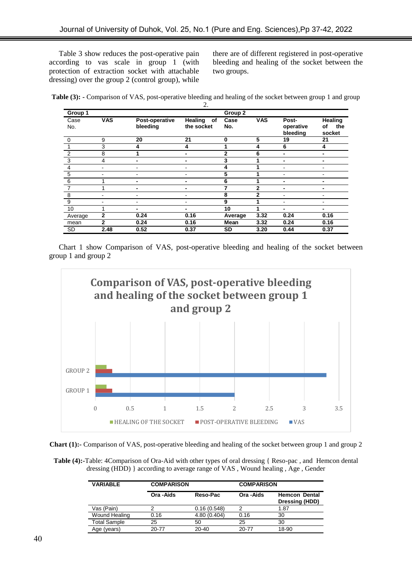Table 3 show reduces the post-operative pain according to vas scale in group 1 (with protection of extraction socket with attachable dressing) over the group 2 (control group), while

there are of different registered in post-operative bleeding and healing of the socket between the two groups.

**Table (3): -** Comparison of VAS, post-operative bleeding and healing of the socket between group 1 and group

|                |              |                            | 2.                       |                    |              |                                |                                       |
|----------------|--------------|----------------------------|--------------------------|--------------------|--------------|--------------------------------|---------------------------------------|
| Group 1        |              |                            |                          | Group <sub>2</sub> |              |                                |                                       |
| Case<br>No.    | <b>VAS</b>   | Post-operative<br>bleeding | Healing of<br>the socket | Case<br>No.        | <b>VAS</b>   | Post-<br>operative<br>bleeding | <b>Healing</b><br>the<br>of<br>socket |
| $\mathbf 0$    | 9            | 20                         | 21                       | $\bf{0}$           | 5            | 19                             | 21                                    |
|                | 3            | 4                          | 4                        | 1                  | 4            | 6                              | 4                                     |
| $\overline{2}$ | 8            |                            |                          | $\overline{2}$     | 6            |                                |                                       |
| $\mathbf{3}$   | 4            | -                          |                          | 3                  |              |                                |                                       |
| $\overline{4}$ | ۰            |                            |                          | 4                  |              |                                |                                       |
| $\,$ 5 $\,$    | ۰            |                            |                          | 5                  |              |                                |                                       |
| 6              | 4            | -                          | -                        | 6                  |              | -                              |                                       |
| $\overline{7}$ | 4            | -                          | $\blacksquare$           | 7                  | $\mathbf{2}$ |                                | $\blacksquare$                        |
| 8              | ۰            | -                          |                          | 8                  | $\mathbf{2}$ |                                |                                       |
| 9              | ٠            | -                          |                          | 9                  |              |                                |                                       |
| 10             | 1            |                            | -                        | 10                 |              |                                | $\blacksquare$                        |
| Average        | $\mathbf{2}$ | 0.24                       | 0.16                     | Average            | 3.32         | 0.24                           | 0.16                                  |
| mean           | $\mathbf{2}$ | 0.24                       | 0.16                     | Mean               | 3.32         | 0.24                           | 0.16                                  |
| <b>SD</b>      | 2.48         | 0.52                       | 0.37                     | SD                 | 3.20         | 0.44                           | 0.37                                  |

Chart 1 show Comparison of VAS, post-operative bleeding and healing of the socket between group 1 and group 2





**Table (4):-**Table: 4Comparison of Ora-Aid with other types of oral dressing { Reso-pac , and Hemcon dental dressing (HDD) } according to average range of VAS , Wound healing , Age , Gender

| <b>VARIABLE</b>     |            | <b>COMPARISON</b> |            | <b>COMPARISON</b>                      |  |  |
|---------------------|------------|-------------------|------------|----------------------------------------|--|--|
|                     | Ora - Aids | Reso-Pac          | Ora - Aids | <b>Hemcon Dental</b><br>Dressing (HDD) |  |  |
| Vas (Pain)          |            | 0.16(0.548)       |            | 1.87                                   |  |  |
| Wound Healing       | 0.16       | 4.80 (0.404)      | 0.16       | 30                                     |  |  |
| <b>Total Sample</b> | 25         | 50                | 25         | 30                                     |  |  |
| Age (years)         | $20 - 77$  | $20 - 40$         | 20-77      | 18-90                                  |  |  |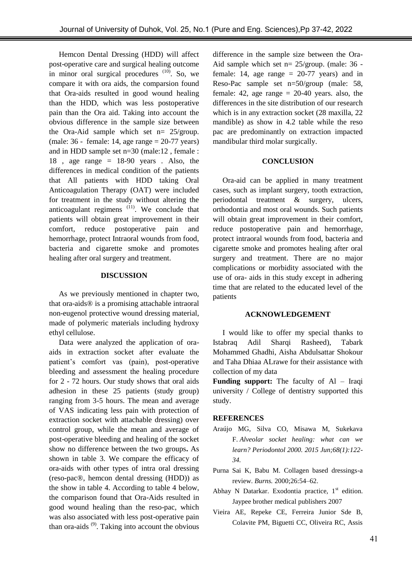Hemcon Dental Dressing (HDD) will affect post-operative care and surgical healing outcome in minor oral surgical procedures  $(10)$ . So, we compare it with ora aids, the comparsion found that Ora-aids resulted in good wound healing than the HDD, which was less postoperative pain than the Ora aid. Taking into account the obvious difference in the sample size between the Ora-Aid sample which set n= 25/group. (male:  $36$  - female: 14, age range  $= 20-77$  years) and in HDD sample set n=30 (male:12 , female : 18, age range  $= 18-90$  years. Also, the differences in medical condition of the patients that All patients with HDD taking Oral Anticoagulation Therapy (OAT) were included for treatment in the study without altering the anticoagulant regimens  $(11)$ . We conclude that patients will obtain great improvement in their comfort, reduce postoperative pain and hemorrhage, protect Intraoral wounds from food, bacteria and cigarette smoke and promotes healing after oral surgery and treatment.

### **DISCUSSION**

As we previously mentioned in chapter two, that ora-aids® is a promising attachable intraoral non-eugenol protective wound dressing material, made of polymeric materials including hydroxy ethyl cellulose.

Data were analyzed the application of oraaids in extraction socket after evaluate the patient"s comfort vas (pain), post-operative bleeding and assessment the healing procedure for 2 - 72 hours. Our study shows that oral aids adhesion in these 25 patients (study group) ranging from 3-5 hours. The mean and average of VAS indicating less pain with protection of extraction socket with attachable dressing) over control group, while the mean and average of post-operative bleeding and healing of the socket show no difference between the two groups**.** As shown in table 3. We compare the efficacy of ora-aids with other types of intra oral dressing (reso-pac®, hemcon dental dressing (HDD)) as the show in table 4. According to table 4 below, the comparison found that Ora-Aids resulted in good wound healing than the reso-pac, which was also associated with less post-operative pain than ora-aids  $(9)$ . Taking into account the obvious difference in the sample size between the Ora-Aid sample which set n= 25/group. (male: 36 female: 14, age range  $= 20-77$  years) and in Reso-Pac sample set n=50/group (male: 58, female: 42, age range  $= 20-40$  years. also, the differences in the site distribution of our research which is in any extraction socket (28 maxilla, 22 mandible) as show in 4.2 table while the reso pac are predominantly on extraction impacted mandibular third molar surgically.

#### **CONCLUSION**

Ora-aid can be applied in many treatment cases, such as implant surgery, tooth extraction, periodontal treatment & surgery, ulcers, orthodontia and most oral wounds. Such patients will obtain great improvement in their comfort, reduce postoperative pain and hemorrhage, protect intraoral wounds from food, bacteria and cigarette smoke and promotes healing after oral surgery and treatment. There are no major complications or morbidity associated with the use of ora- aids in this study except in adhering time that are related to the educated level of the patients

#### **ACKNOWLEDGEMENT**

I would like to offer my special thanks to Istabraq Adil Sharqi Rasheed), Tabark Mohammed Ghadhi, Aisha Abdulsattar Shokour and Taha Dhiaa ALrawe for their assistance with collection of my data

**Funding support:** The faculty of Al – Iraqi university / College of dentistry supported this study.

# **REFERENCES**

- Araújo MG, Silva CO, Misawa M, Sukekava F. *Alveolar socket healing: what can we learn? Periodontol 2000. 2015 Jun;68(1):122- 34.*
- Purna Sai K, Babu M. Collagen based dressings-a review. *Burns.* 2000;26:54–62.
- Abhay N Datarkar. Exodontia practice,  $1<sup>st</sup>$  edition. Jaypee brother medical publishers 2007
- Vieira AE, Repeke CE, Ferreira Junior Sde B, Colavite PM, Biguetti CC, Oliveira RC, Assis